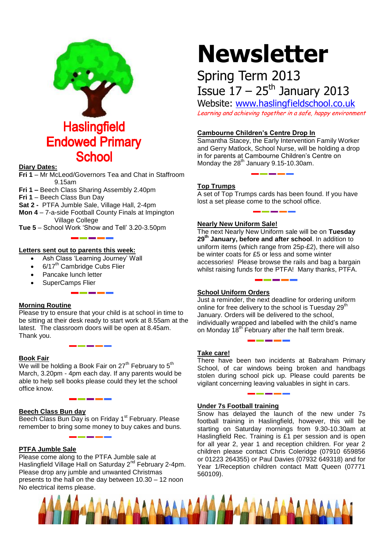

## **Diary Dates:**

**Fri 1** – Mr McLeod/Governors Tea and Chat in Staffroom 9.15am

**Fri 1 –** Beech Class Sharing Assembly 2.40pm

**Fri 1** – Beech Class Bun Day

**Sat 2 -** PTFA Jumble Sale, Village Hall, 2-4pm

**Mon 4** – 7-a-side Football County Finals at Impington Village College

**Tue 5** – School Work 'Show and Tell' 3.20-3.50pm

## **Letters sent out to parents this week:**

- Ash Class 'Learning Journey' Wall
- $\cdot$  6/17<sup>th</sup> Cambridge Cubs Flier
- Pancake lunch letter
- SuperCamps Flier

## **Morning Routine**

Please try to ensure that your child is at school in time to be sitting at their desk ready to start work at 8.55am at the latest. The classroom doors will be open at 8.45am. Thank you.

## **Book Fair**

We will be holding a Book Fair on  $27<sup>th</sup>$  February to  $5<sup>th</sup>$ March, 3.20pm - 4pm each day. If any parents would be able to help sell books please could they let the school office know.

## **Beech Class Bun day**

Beech Class Bun Day is on Friday 1<sup>st</sup> February. Please remember to bring some money to buy cakes and buns.

## **PTFA Jumble Sale**

Please come along to the PTFA Jumble sale at Haslingfield Village Hall on Saturday 2<sup>nd</sup> February 2-4pm. Please drop any jumble and unwanted Christmas presents to the hall on the day between 10.30 – 12 noon No electrical items please.

# **Newsletter**

# Spring Term 2013 Issue  $17 - 25$ <sup>th</sup> January 2013

Website: [www.haslingfieldschool.co.uk](http://www.haslingfieldschool.co.uk/) Learning and achieving together in a safe, happy environment

## **Cambourne Children's Centre Drop In**

Samantha Stacey, the Early Intervention Family Worker and Gerry Matlock, School Nurse, will be holding a drop in for parents at Cambourne Children's Centre on Monday the  $28<sup>th</sup>$  January 9.15-10.30am.

# **Top Trumps**

A set of Top Trumps cards has been found. If you have lost a set please come to the school office.

## **Nearly New Uniform Sale!**

The next Nearly New Uniform sale will be on **Tuesday 29th January, before and after school**. In addition to uniform items (which range from 25p-£2), there will also be winter coats for £5 or less and some winter accessories! Please browse the rails and bag a bargain whilst raising funds for the PTFA! Many thanks, PTFA.

# **School Uniform Orders**

Just a reminder, the next deadline for ordering uniform online for free delivery to the school is Tuesday 29<sup>th</sup> January. Orders will be delivered to the school, individually wrapped and labelled with the child's name on Monday  $18<sup>th</sup>$  February after the half term break.

## **Take care!**

There have been two incidents at Babraham Primary School, of car windows being broken and handbags stolen during school pick up. Please could parents be vigilant concerning leaving valuables in sight in cars.

## **Under 7s Football training**

Snow has delayed the launch of the new under 7s football training in Haslingfield, however, this will be starting on Saturday mornings from 9.30-10.30am at Haslingfield Rec. Training is £1 per session and is open for all year 2, year 1 and reception children. For year 2 children please contact Chris Coleridge (07910 659856 or 01223 264355) or Paul Davies (07932 649318) and for Year 1/Reception children contact Matt Queen (07771 560109).